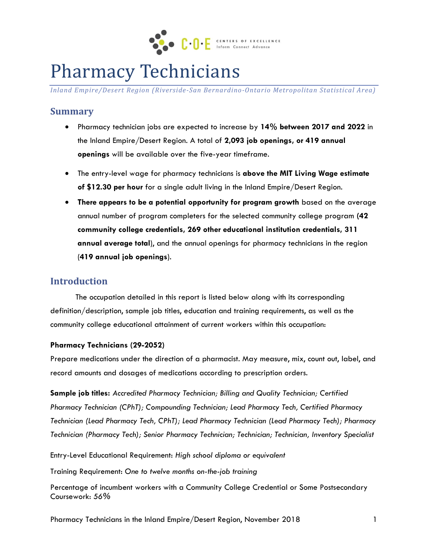

# Pharmacy Technicians

*Inland Empire/Desert Region (Riverside-San Bernardino-Ontario Metropolitan Statistical Area)*

#### **Summary**

- Pharmacy technician jobs are expected to increase by **14% between 2017 and 2022** in the Inland Empire/Desert Region. A total of **2,093 job openings, or 419 annual openings** will be available over the five-year timeframe.
- The entry-level wage for pharmacy technicians is **above the MIT Living Wage estimate of \$12.30 per hour** for a single adult living in the Inland Empire/Desert Region.
- **There appears to be a potential opportunity for program growth** based on the average annual number of program completers for the selected community college program **(42 community college credentials, 269 other educational institution credentials, 311 annual average total**), and the annual openings for pharmacy technicians in the region (**419 annual job openings**).

#### **Introduction**

The occupation detailed in this report is listed below along with its corresponding definition/description, sample job titles, education and training requirements, as well as the community college educational attainment of current workers within this occupation:

#### **Pharmacy Technicians (29-2052)**

Prepare medications under the direction of a pharmacist. May measure, mix, count out, label, and record amounts and dosages of medications according to prescription orders.

**Sample job titles:** *Accredited Pharmacy Technician; Billing and Quality Technician; Certified Pharmacy Technician (CPhT); Compounding Technician; Lead Pharmacy Tech, Certified Pharmacy Technician (Lead Pharmacy Tech, CPhT); Lead Pharmacy Technician (Lead Pharmacy Tech); Pharmacy Technician (Pharmacy Tech); Senior Pharmacy Technician; Technician; Technician, Inventory Specialist*

Entry-Level Educational Requirement: *High school diploma or equivalent*

Training Requirement: *One to twelve months on-the-job training*

Percentage of incumbent workers with a Community College Credential or Some Postsecondary Coursework: *56%*

Pharmacy Technicians in the Inland Empire/Desert Region, November 2018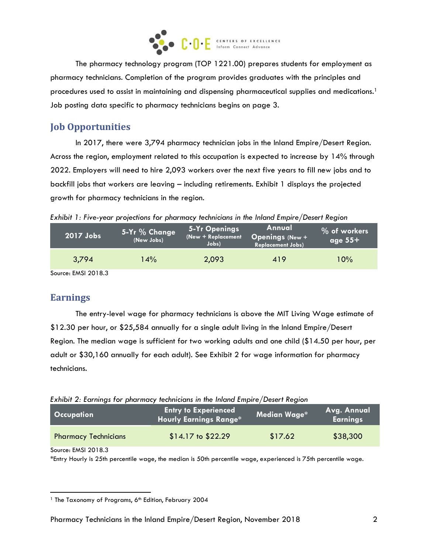

The pharmacy technology program (TOP 1221.00) prepares students for employment as pharmacy technicians. Completion of the program provides graduates with the principles and procedures used to assist in maintaining and dispensing pharmaceutical supplies and medications.<sup>1</sup> Job posting data specific to pharmacy technicians begins on page 3.

## **Job Opportunities**

In 2017, there were 3,794 pharmacy technician jobs in the Inland Empire/Desert Region. Across the region, employment related to this occupation is expected to increase by 14% through 2022. Employers will need to hire 2,093 workers over the next five years to fill new jobs and to backfill jobs that workers are leaving – including retirements. Exhibit 1 displays the projected growth for pharmacy technicians in the region.

*Exhibit 1: Five-year projections for pharmacy technicians in the Inland Empire/Desert Region*

| 2017 Jobs | 5-Yr % Change<br>(New Jobs) | 5-Yr Openings<br>(New + Replacement<br>Jobs) | Annual<br><b>Openings (New +</b><br><b>Replacement Jobs)</b> | % of workers<br>age $55+$ |
|-----------|-----------------------------|----------------------------------------------|--------------------------------------------------------------|---------------------------|
| 3,794     | $14\%$                      | 2,093                                        | 419                                                          | $10\%$                    |

Source: EMSI 2018.3

### **Earnings**

The entry-level wage for pharmacy technicians is above the MIT Living Wage estimate of \$12.30 per hour, or \$25,584 annually for a single adult living in the Inland Empire/Desert Region. The median wage is sufficient for two working adults and one child (\$14.50 per hour, per adult or \$30,160 annually for each adult). See Exhibit 2 for wage information for pharmacy technicians.

| Exhibit 2: Earnings for pharmacy technicians in the Inland Empire/Desert Region |  |  |  |  |
|---------------------------------------------------------------------------------|--|--|--|--|
|                                                                                 |  |  |  |  |

| <b>Occupation</b>           | <b>Entry to Experienced</b><br><b>Hourly Earnings Range*</b> | Median Wage* | Avg. Annual<br><b>Earnings</b> |
|-----------------------------|--------------------------------------------------------------|--------------|--------------------------------|
| <b>Pharmacy Technicians</b> | $$14.17$ to $$22.29$                                         | \$17.62      | \$38,300                       |

Source: EMSI 2018.3

\*Entry Hourly is 25th percentile wage, the median is 50th percentile wage, experienced is 75th percentile wage.

 $\overline{\phantom{a}}$ <sup>1</sup> The Taxonomy of Programs, 6<sup>th</sup> Edition, February 2004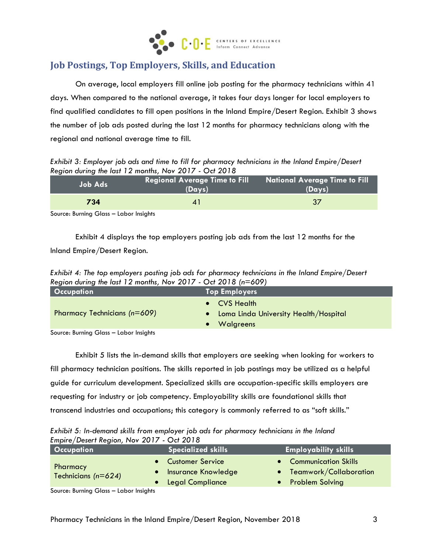

## **Job Postings, Top Employers, Skills, and Education**

On average, local employers fill online job posting for the pharmacy technicians within 41 days. When compared to the national average, it takes four days longer for local employers to find qualified candidates to fill open positions in the Inland Empire/Desert Region. Exhibit 3 shows the number of job ads posted during the last 12 months for pharmacy technicians along with the regional and national average time to fill.

*Exhibit 3: Employer job ads and time to fill for pharmacy technicians in the Inland Empire/Desert Region during the last 12 months, Nov 2017 - Oct 2018*

| <b>Job Ads</b> | Regional Average Time to Fill<br>(Days) | <b>National Average Time to Fill</b><br>(Days) |
|----------------|-----------------------------------------|------------------------------------------------|
| 734            |                                         | 37                                             |
| .              |                                         |                                                |

Source: Burning Glass – Labor Insights

Exhibit 4 displays the top employers posting job ads from the last 12 months for the Inland Empire/Desert Region.

*Exhibit 4: The top employers posting job ads for pharmacy technicians in the Inland Empire/Desert Region during the last 12 months, Nov 2017 - Oct 2018 (n=609)*

| <b>Occupation</b>                      | <b>Top Employers</b>                                               |
|----------------------------------------|--------------------------------------------------------------------|
| Pharmacy Technicians (n=609)           | • CVS Health<br>Loma Linda University Health/Hospital<br>Walgreens |
| Source: Burning Glass - Labor Insights |                                                                    |

Source: Burning Glass – Labor Insights

Exhibit 5 lists the in-demand skills that employers are seeking when looking for workers to fill pharmacy technician positions. The skills reported in job postings may be utilized as a helpful guide for curriculum development. Specialized skills are occupation-specific skills employers are requesting for industry or job competency. Employability skills are foundational skills that transcend industries and occupations; this category is commonly referred to as "soft skills."

*Exhibit 5: In-demand skills from employer job ads for pharmacy technicians in the Inland Empire/Desert Region, Nov 2017 - Oct 2018*

| <b>Occupation</b>                   | <b>Specialized skills</b> | <b>Employability skills</b> |
|-------------------------------------|---------------------------|-----------------------------|
|                                     | • Customer Service        | • Communication Skills      |
| Pharmacy<br>Technicians ( $n=624$ ) | • Insurance Knowledge     | • Teamwork/Collaboration    |
|                                     | • Legal Compliance        | <b>Problem Solving</b>      |

Source: Burning Glass – Labor Insights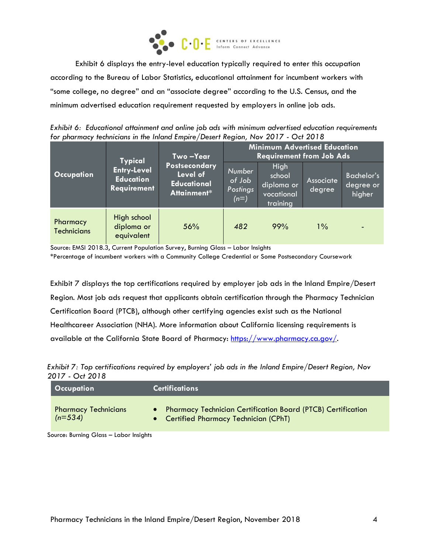

Exhibit 6 displays the entry-level education typically required to enter this occupation according to the Bureau of Labor Statistics, educational attainment for incumbent workers with "some college, no degree" and an "associate degree" according to the U.S. Census, and the minimum advertised education requirement requested by employers in online job ads.

*Exhibit 6: Educational attainment and online job ads with minimum advertised education requirements for pharmacy technicians in the Inland Empire/Desert Region, Nov 2017 - Oct 2018*

|                                | <b>Typical</b>                                               | Two-Year<br>Postsecondary<br>Level of<br><b>Educational</b><br>Attainment* | <b>Minimum Advertised Education</b><br><b>Requirement from Job Ads</b> |                                                        |                     |                                          |
|--------------------------------|--------------------------------------------------------------|----------------------------------------------------------------------------|------------------------------------------------------------------------|--------------------------------------------------------|---------------------|------------------------------------------|
| Occupation                     | <b>Entry-Level</b><br><b>Education</b><br><b>Requirement</b> |                                                                            | Number<br>of Job<br>Postings<br>$(n=)$                                 | High<br>school<br>diploma or<br>vocational<br>training | Associate<br>degree | <b>Bachelor's</b><br>degree or<br>higher |
| Pharmacy<br><b>Technicians</b> | High school<br>diploma or<br>equivalent                      | 56%                                                                        | 482                                                                    | 99%                                                    | $1\%$               |                                          |

Source: EMSI 2018.3, Current Population Survey, Burning Glass – Labor Insights

\*Percentage of incumbent workers with a Community College Credential or Some Postsecondary Coursework

Exhibit 7 displays the top certifications required by employer job ads in the Inland Empire/Desert Region. Most job ads request that applicants obtain certification through the Pharmacy Technician Certification Board (PTCB), although other certifying agencies exist such as the National Healthcareer Association (NHA). More information about California licensing requirements is available at the California State Board of Pharmacy: [https://www.pharmacy.ca.gov/.](https://www.pharmacy.ca.gov/)

*Exhibit 7: Top certifications required by employers' job ads in the Inland Empire/Desert Region, Nov 2017 - Oct 2018*

| Occupation                               | <b>Certifications</b>                                                                                    |
|------------------------------------------|----------------------------------------------------------------------------------------------------------|
| <b>Pharmacy Technicians</b><br>$(n=534)$ | • Pharmacy Technician Certification Board (PTCB) Certification<br>• Certified Pharmacy Technician (CPhT) |

Source: Burning Glass – Labor Insights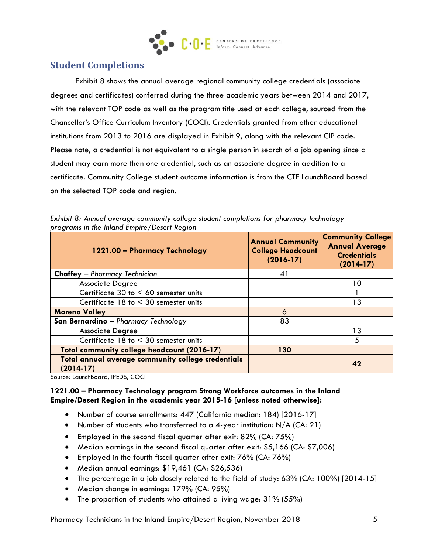

### **Student Completions**

Exhibit 8 shows the annual average regional community college credentials (associate degrees and certificates) conferred during the three academic years between 2014 and 2017, with the relevant TOP code as well as the program title used at each college, sourced from the Chancellor's Office Curriculum Inventory (COCI). Credentials granted from other educational institutions from 2013 to 2016 are displayed in Exhibit 9, along with the relevant CIP code. Please note, a credential is not equivalent to a single person in search of a job opening since a student may earn more than one credential, such as an associate degree in addition to a certificate. Community College student outcome information is from the CTE LaunchBoard based on the selected TOP code and region.

| 1221.00 - Pharmacy Technology                                     | <b>Annual Community</b><br><b>College Headcount</b><br>$(2016 - 17)$ | <b>Community College</b><br><b>Annual Average</b><br><b>Credentials</b><br>$(2014-17)$ |
|-------------------------------------------------------------------|----------------------------------------------------------------------|----------------------------------------------------------------------------------------|
| <b>Chaffey</b> - Pharmacy Technician                              | 41                                                                   |                                                                                        |
| <b>Associate Degree</b>                                           |                                                                      | 10                                                                                     |
| Certificate 30 to $< 60$ semester units                           |                                                                      |                                                                                        |
| Certificate $18$ to $\leq 30$ semester units                      |                                                                      | 3 ا                                                                                    |
| <b>Moreno Valley</b>                                              | 6                                                                    |                                                                                        |
| San Bernardino - Pharmacy Technology                              | 83                                                                   |                                                                                        |
| <b>Associate Degree</b>                                           |                                                                      | 13                                                                                     |
| Certificate $18$ to $\leq 30$ semester units                      |                                                                      | 5                                                                                      |
| Total community college headcount (2016-17)                       | 130                                                                  |                                                                                        |
| Total annual average community college credentials<br>$(2014-17)$ |                                                                      | 42                                                                                     |

*Exhibit 8: Annual average community college student completions for pharmacy technology programs in the Inland Empire/Desert Region*

Source: LaunchBoard, IPEDS, COCI

#### **1221.00 – Pharmacy Technology program Strong Workforce outcomes in the Inland Empire/Desert Region in the academic year 2015-16 [unless noted otherwise]:**

- Number of course enrollments: 447 (California median: 184) [2016-17]
- Number of students who transferred to a 4-year institution:  $N/A$  (CA: 21)
- Employed in the second fiscal quarter after exit:  $82\%$  (CA:  $75\%$ )
- Median earnings in the second fiscal quarter after exit: \$5,166 (CA: \$7,006)
- Employed in the fourth fiscal quarter after exit: 76% (CA: 76%)
- Median annual earnings: \$19,461 (CA: \$26,536)
- The percentage in a job closely related to the field of study: 63% (CA: 100%) [2014-15]
- Median change in earnings: 179% (CA: 95%)
- The proportion of students who attained a living wage: 31% (55%)